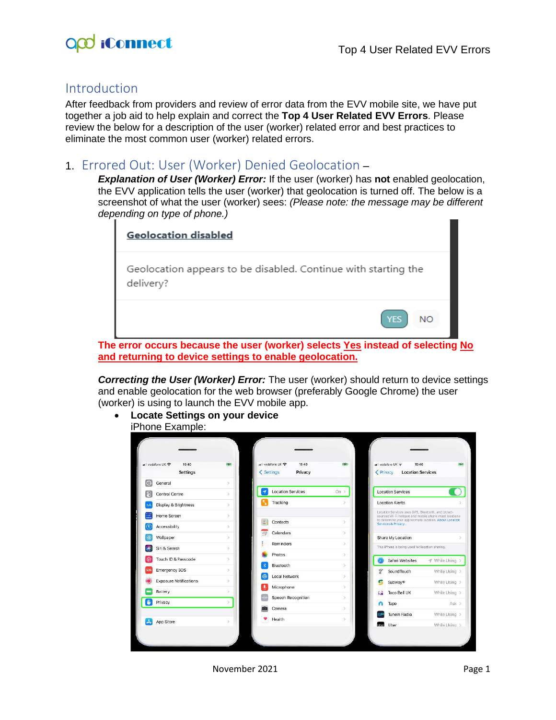

## Introduction

After feedback from providers and review of error data from the EVV mobile site, we have put together a job aid to help explain and correct the **Top 4 User Related EVV Errors**. Please review the below for a description of the user (worker) related error and best practices to eliminate the most common user (worker) related errors.

## 1. Errored Out: User (Worker) Denied Geolocation –

*Explanation of User (Worker) Error:* If the user (worker) has **not** enabled geolocation, the EVV application tells the user (worker) that geolocation is turned off. The below is a screenshot of what the user (worker) sees: *(Please note: the message may be different depending on type of phone.)*

| <b>Geolocation disabled</b>                                                 |                  |
|-----------------------------------------------------------------------------|------------------|
| Geolocation appears to be disabled. Continue with starting the<br>delivery? |                  |
|                                                                             | YFS<br><b>NO</b> |

**The error occurs because the user (worker) selects Yes instead of selecting No and returning to device settings to enable geolocation.**

*Correcting the User (Worker) Error:* The user (worker) should return to device settings and enable geolocation for the web browser (preferably Google Chrome) the user (worker) is using to launch the EVV mobile app.

• **Locate Settings on your device**  iPhone Example:

|            | all vodafone UK <a><br/>16:40<br/><b>Settings</b></a> | iceal         | < Settings | •Ill vodatone UK →<br>15:40<br>Privacy | 850           | < Privacy    | 15:40<br>all vodafone UK<br><b>Location Services</b>                                                            |               | it (a)        |
|------------|-------------------------------------------------------|---------------|------------|----------------------------------------|---------------|--------------|-----------------------------------------------------------------------------------------------------------------|---------------|---------------|
| œ          | General                                               | $\geq$        | 4          | <b>Location Services</b>               | $On$ >        |              | Location Services                                                                                               |               |               |
| H          | Control Centre                                        | $\geq$        |            |                                        |               |              | <b>Location Alerts</b>                                                                                          |               |               |
|            | Display & Brightness                                  | $\rightarrow$ |            | Tracking                               |               |              | Location Services uses GPS, Bluetooth, and crowd-                                                               |               |               |
| æ          | Home Screen                                           | $\delta$      |            |                                        | $\geq$        |              | sourced Wi-Fi hotspot and mobile phone mast locations<br>to determine your approximate location. About Location |               |               |
| Œ          | Accessibility                                         | $\rightarrow$ |            | Contacts                               |               |              | Services & Privacy                                                                                              |               |               |
|            | Wallpaper                                             | $\rightarrow$ |            | Calendars                              | 5             |              | Share My Location                                                                                               |               | $\rightarrow$ |
|            | Siri & Search                                         | 5             |            | Reminders                              | $\geq$        |              | This iPhone is being used for location sharing.                                                                 |               |               |
|            | Touch ID & Passcode                                   | 3             |            | Photos                                 | $\rightarrow$ |              | Safari Websites                                                                                                 | - While Using |               |
|            |                                                       |               |            | Bluetooth                              | S             |              |                                                                                                                 |               |               |
| <b>SOS</b> | <b>Emergency SOS</b>                                  | $\geq$        |            | Local Network                          | $\mathcal{S}$ | $\sqrt{2}$   | <b>SoundTouch</b>                                                                                               | While Using > |               |
|            | <b>Exposure Notifications</b>                         | S.            |            | Microphone                             | $\rightarrow$ | r.           | Subway <sup>®</sup>                                                                                             | While Using > |               |
|            | Battery                                               | s             |            | Speech Recognition                     | $\rightarrow$ | ko           | Taco Bell UK                                                                                                    | While Using > |               |
|            | Privacy                                               | X             |            |                                        |               |              | Tapo                                                                                                            | $Ask$ >       |               |
|            |                                                       |               |            | Camera                                 | $\geq$        |              | <b>Tuneln Radio</b>                                                                                             | While Using > |               |
|            | App Store                                             | $\geq$        |            | Health                                 | 5             | <b>Liber</b> | Uber                                                                                                            | While Using > |               |

November 2021 **Page 1**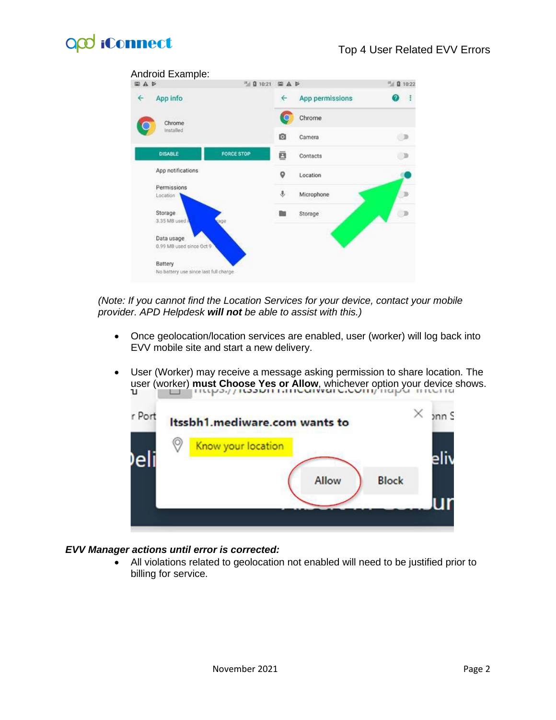# O<sub>co</sub> iConnect



*(Note: If you cannot find the Location Services for your device, contact your mobile provider. APD Helpdesk will not be able to assist with this.)*

- Once geolocation/location services are enabled, user (worker) will log back into EVV mobile site and start a new delivery.
- User (Worker) may receive a message asking permission to share location. The user (worker) **must Choose Yes or Allow**, whichever option your device shows.



#### *EVV Manager actions until error is corrected:*

• All violations related to geolocation not enabled will need to be justified prior to billing for service.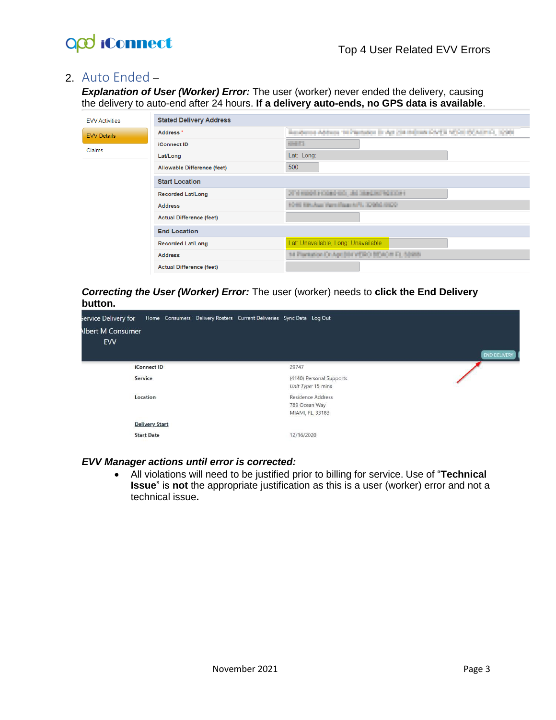

## 2. Auto Ended –

*Explanation of User (Worker) Error:* The user (worker) never ended the delivery, causing the delivery to auto-end after 24 hours. **If a delivery auto-ends, no GPS data is available**.

| <b>EVV Activities</b> | <b>Stated Delivery Address</b>  |                                                                                     |  |  |  |
|-----------------------|---------------------------------|-------------------------------------------------------------------------------------|--|--|--|
| <b>EVV Details</b>    | Address <sup>*</sup>            | Residence Address 14 Paintidos (in Apr./Sar.Indigios CA/FB 1250) (SCA/Int.C., 1298) |  |  |  |
|                       | <b>iConnect ID</b>              | $-0.001$                                                                            |  |  |  |
| <b>Claims</b>         | Lat/Long                        | Lat: Long:                                                                          |  |  |  |
|                       | Allowable Difference (feet)     | 500                                                                                 |  |  |  |
|                       | <b>Start Location</b>           |                                                                                     |  |  |  |
|                       | <b>Recorded Lat/Long</b>        |                                                                                     |  |  |  |
|                       | <b>Address</b>                  | FOR REAL Parallage AP, 2006 RDD                                                     |  |  |  |
|                       | <b>Actual Difference (feet)</b> |                                                                                     |  |  |  |
|                       | <b>End Location</b>             |                                                                                     |  |  |  |
|                       | <b>Recorded Lat/Long</b>        | Lat: Unavailable, Long: Unavailable                                                 |  |  |  |
|                       | <b>Address</b>                  | 14 Parkation Dr April 84 (VERO BEACH FL 5080).                                      |  |  |  |
|                       | <b>Actual Difference (feet)</b> |                                                                                     |  |  |  |

#### *Correcting the User (Worker) Error:* The user (worker) needs to **click the End Delivery button.**

| service Delivery for<br><b>Ibert M Consumer</b><br><b>EVV</b> |                       | Home Consumers Delivery Rosters Current Deliveries Sync Data Log Out | <b>END DELIVERY</b> |
|---------------------------------------------------------------|-----------------------|----------------------------------------------------------------------|---------------------|
| <b>iConnect ID</b><br>Service                                 |                       | 29747<br>(4140) Personal Supports<br>Unit Type: 15 mins              |                     |
| Location                                                      |                       | Residence Address<br>789 Ocean Way<br>MIAMI, FL, 33183               |                     |
| <b>Start Date</b>                                             | <b>Delivery Start</b> | 12/16/2020                                                           |                     |

#### *EVV Manager actions until error is corrected:*

• All violations will need to be justified prior to billing for service. Use of "**Technical Issue**" is **not** the appropriate justification as this is a user (worker) error and not a technical issue**.**